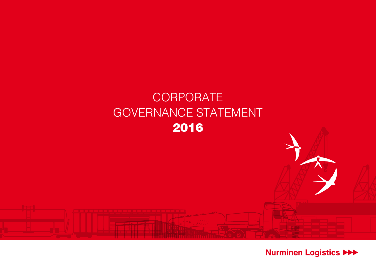

Nurminen Logistics >>>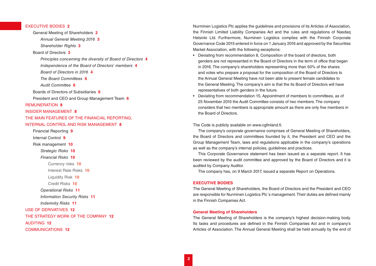# EXECUTIVE BODIES **2**

General Meeting of Shareholders **2** *[Annual General Meeting 2016](#page-2-0)* **3** *[Shareholder Rights](#page-2-0)* **3** [Board of Directors](#page-2-0) **3** *[Principles concerning the diversity of Board of Directors](#page-3-0)* **4** *[Independence of the Board of Directors' members](#page-3-0)* **4** *[Board of Directors in 2016](#page-3-0)* **4** *[The Board Committees](#page-5-0)* **6** *[Audit Committee](#page-5-0)* **6** [Boards of Directors of Subsidiaries](#page-5-0) **6** [President and CEO and Group Management Team](#page-5-0) **6** [REMUNERATION](#page-7-0) **8** [INSIDER MANAGEMENT](#page-7-0) **8** [THE MAIN FEATURES OF THE FINANCIAL REPORTING,](#page-7-0)  [INTERNAL CONTROL AND RISK MANAGEMENT](#page-7-0) **8** [Financial Reporting](#page-8-0) **9** [Internal Control](#page-8-0) **9** [Risk management](#page-9-0) **10** *[Strategic Risks](#page-9-0)* **10** *[Financial Risks](#page-9-0)* **10** [Currency risks](#page-9-0) **10** [Interest Rate Risks](#page-9-0) **10** [Liquidity Risk](#page-9-0) **10** [Credit Risks](#page-9-0) **10** *[Operational Risks](#page-10-0)* **11** *[Information Security Risks](#page-10-0)* **11** *[Indemnity Risks](#page-10-0)* **11** [USE OF DERIVATIVES](#page-11-0) **12**

[THE STRATEGY WORK OF THE COMPANY](#page-11-0) **12**

[AUDITING](#page-11-0) **12**

[COMMUNICATIONS](#page-11-0) **12**

Nurminen Logistics Plc applies the guidelines and provisions of its Articles of Association, the Finnish Limited Liability Companies Act and the rules and regulations of Nasdaq Helsinki Ltd. Furthermore, Nurminen Logistics complies with the Finnish Corporate Governance Code 2015 entered in force on 1 January 2016 and approved by the Securities Market Association, with the following exceptions:

- Deviating from recommendation 8, Composition of the board of directors, both genders are not represented in the Board of Directors in the term of office that began in 2016. The company's shareholders representing more than 50% of the shares and votes who prepare a proposal for the composition of the Board of Directors to the Annual General Meeting have not been able to present female candidates to the General Meeting. The company's aim is that the its Board of Directors will have representatives of both genders in the future.
- Deviating from recommendation 15, Appointment of members to committees, as of 25 November 2010 the Audit Committee consists of two members. The company considers that two members is appropriate amount as there are only five members in the Board of Directors.

# The Code is publicly available on www.cgfinland.fi.

The company's corporate governance comprises of General Meeting of Shareholders, the Board of Directors and committees founded by it, the President and CEO and the Group Management Team, laws and regulations applicable in the company's operations as well as the company's internal policies, guidelines and practices.

This Corporate Governance statement has been issued as a separate report. It has been reviewed by the audit committee and approved by the Board of Directors and it is audited by Company Auditor.

The company has, on 9 March 2017, issued a separate Report on Operations.

### **EXECUTIVE BODIES**

The General Meeting of Shareholders, the Board of Directors and the President and CEO are responsible for Nurminen Logistics Plc´s management. Their duties are defined mainly in the Finnish Companies Act.

# **General Meeting of Shareholders**

The General Meeting of Shareholders is the company's highest decision-making body. Its tasks and procedures are defined in the Finnish Companies Act and in company's Articles of Association. The Annual General Meeting shall be held annually by the end of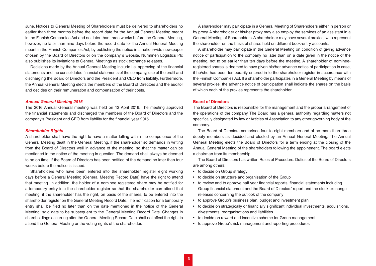<span id="page-2-0"></span>June. Notices to General Meeting of Shareholders must be delivered to shareholders no earlier than three months before the record date for the Annual General Meeting meant in the Finnish Companies Act and not later than three weeks before the General Meeting, however, no later than nine days before the record date for the Annual General Meeting meant in the Finnish Companies Act, by publishing the notice in a nation-wide newspaper chosen by the Board of Directors or on the company´s website. Nurminen Logistics Plc also publishes its invitations to General Meetings as stock exchange releases.

Decisions made by the Annual General Meeting include i.e. approving of the financial statements and the consolidated financial statements of the company, use of the profit and discharging the Board of Directors and the President and CEO from liability. Furthermore, the Annual General Meeting elects the members of the Board of Directors and the auditor and decides on their remuneration and compensation of their costs.

#### *Annual General Meeting 2016*

The 2016 Annual General meeting was held on 12 April 2016. The meeting approved the financial statements and discharged the members of the Board of Directors and the company's President and CEO from liability for the financial year 2015.

### *Shareholder Rights*

A shareholder shall have the right to have a matter falling within the competence of the General Meeting dealt in the General Meeting, if the shareholder so demands in writing from the Board of Directors well in advance of the meeting, so that the matter can be mentioned in the notice of the meeting in question. The demand shall always be deemed to be on time, if the Board of Directors has been notified of the demand no later than four weeks before the notice is issued.

Shareholders who have been entered into the shareholder register eight working days before a General Meeting (General Meeting Record Date) have the right to attend that meeting. In addition, the holder of a nominee registered share may be notified for a temporary entry into the shareholder register so that the shareholder can attend that meeting, if the shareholder has the right, on basis of the shares, to be entered into the shareholder register on the General Meeting Record Date. The notification for a temporary entry shall be filed no later than on the date mentioned in the notice of the General Meeting, said date to be subsequent to the General Meeting Record Date. Changes in shareholdings occurring after the General Meeting Record Date shall not affect the right to attend the General Meeting or the voting rights of the shareholder.

A shareholder may participate in a General Meeting of Shareholders either in person or by proxy. A shareholder or his/her proxy may also employ the services of an assistant in a General Meeting of Shareholders. A shareholder may have several proxies, who represent the shareholder on the basis of shares held on different book-entry accounts.

A shareholder may participate in the General Meeting on condition of giving advance notice of participation to the company no later than on a date given in the notice of the meeting, not to be earlier than ten days before the meeting. A shareholder of nomineeregistered shares is deemed to have given his/her advance notice of participation in case, if he/she has been temporarily entered in to the shareholder register in accordance with the Finnish Companies Act. If a shareholder participates in a General Meeting by means of several proxies, the advance notice of participation shall indicate the shares on the basis of which each of the proxies represents the shareholder.

# **Board of Directors**

The Board of Directors is responsible for the management and the proper arrangement of the operations of the company. The Board has a general authority regarding matters not specifically designated by law or Articles of Association to any other governing body of the company.

The Board of Directors comprises four to eight members and of no more than three deputy members as decided and elected by an Annual General Meeting. The Annual General Meeting elects the Board of Directors for a term ending at the closing of the Annual General Meeting of the shareholders following the appointment. The board elects a chairman from its membership.

The Board of Directors has written Rules of Procedure. Duties of the Board of Directors are among others:

- to decide on Group strategy
- to decide on structure and organisation of the Group
- to review and to approve half year financial reports, financial statements including Group financial statement and the Board of Directors' report and the stock exchange releases concerning the outlook of the company
- to approve Group's business plan, budget and investment plan
- to decide on strategically or financially significant individual investments, acquisitions, divestments, reorganisations and liabilities
- to decide on reward and incentive scheme for Group management
- to approve Group's risk management and reporting procedures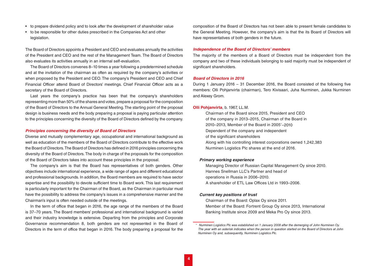- <span id="page-3-0"></span>• to prepare dividend policy and to look after the development of shareholder value
- to be responsible for other duties prescribed in the Companies Act and other legislation.

The Board of Directors appoints a President and CEO and evaluates annually the activities of the President and CEO and the rest of the Management Team. The Board of Directors also evaluates its activities annually in an internal self-evaluation.

The Board of Directors convenes 8–10 times a year following a predetermined schedule and at the invitation of the chairman as often as required by the company's activities or when proposed by the President and CEO. The company's President and CEO and Chief Financial Officer attend Board of Directors' meetings. Chief Financial Officer acts as a secretary of the Board of Directors.

Last years the company's practice has been that the company's shareholders representing more than 50% of the shares and votes, prepare a proposal for the composition of the Board of Directors to the Annual General Meeting. The starting point of the proposal design is business needs and the body preparing a proposal is paying particular attention to the principles concerning the diversity of the Board of Directors defined by the company.

### *Principles concerning the diversity of Board of Directors*

Diverse and mutually complementary age, occupational and international background as well as education of the members of the Board of Directors contribute to the effective work the Board of Directors. The Board of Directors has defined in 2016 principles concerning the diversity of the Board of Directors. The body in charge of the proposals for the composition of the Board of Directors takes into account these principles in the proposal.

The company's aim is that the Board has representatives of both genders. Other objectives include international experience, a wide range of ages and different educational and professional backgrounds. In addition, the Board members are required to have sector expertise and the possibility to devote sufficient time to Board work. This last requirement is particularly important for the Chairman of the Board, as the Chairman in particular must have the possibility to address the company's issues in a comprehensive manner and the Chairman's input is often needed outside of the meetings.

In the term of office that began in 2016, the age range of the members of the Board is 37–70 years. The Board members' professional and international background is varied and their industry knowledge is extensive. Departing from the principles and Corporate Governance recommendation 8, both genders are not represented in the Board of Directors in the term of office that began in 2016. The body preparing a proposal for the composition of the Board of Directors has not been able to present female candidates to the General Meeting. However, the company's aim is that the its Board of Directors will have representatives of both genders in the future.

# *Independence of the Board of Directors' members*

The majority of the members of a Board of Directors must be independent from the company and two of these individuals belonging to said majority must be independent of significant shareholders.

#### *Board of Directors in 2016*

During 1 January 2016 – 31 December 2016, the Board consisted of the following five members: Olli Pohjanvirta (chairman), Tero Kivisaari, Juha Nurminen, Jukka Nurminen and Alexey Grom.

#### **Olli Pohjanvirta**, b. 1967, LL.M.

Chairman of the Board since 2015, President and CEO of the company in 2013–2015, Chairman of the Board in 2010–2013, Member of the Board in 2005\*–2010 Dependent of the company and independent of the significant shareholders Along with his controlling interest corporations owned 1,242,383 Nurminen Logistics Plc shares at the end of 2016.

# *Primary working experience*

Managing Director of Russian Capital Management Oy since 2010. Hannes Snellman LLC's Partner and head of operations in Russia in 2006–2010. A shareholder of ETL Law Offices Ltd in 1993–2006.

### *Current key positions of trust*

Chairman of the Board: Oplax Oy since 2011. Member of the Board: Fortrent Group Oy since 2013, International Banking Institute since 2009 and Meka Pro Oy since 2013.

*<sup>\*</sup> Nurminen Logistics Plc was established on 1 January 2008 after the demerging of John Nurminen Oy. The year with an asterisk indicates when the person in question started on the Board of Directors at John Nurminen Oy and, subsequently, Nurminen Logistics Plc.*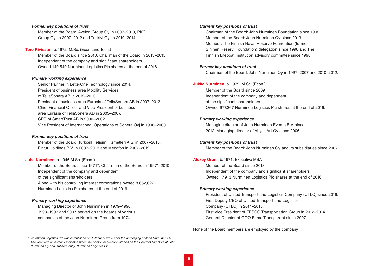#### *Former key positions of trust*

Member of the Board: Avelon Group Oy in 2007–2010, PKC Group Oyj in 2007–2012 and Tulikivi Oyj in 2010–2014.

**Tero Kivisaari**, b. 1972, M.Sc. (Econ. and Tech.) Member of the Board since 2010, Chairman of the Board in 2013–2015 Independent of the company and significant shareholders Owned 149,549 Nurminen Logistics Plc shares at the end of 2016.

#### *Primary working experience*

Senior Partner in LetterOne Technology since 2014. President of business area Mobility Services of TeliaSonera AB in 2012–2013. President of business area Eurasia of TeliaSonera AB in 2007–2012. Chief Financial Officer and Vice President of business area Eurasia of TeliaSonera AB in 2003–2007. CFO of SmartTrust AB in 2000–2002. Vice President of International Operations of Sonera Oyj in 1998–2000.

# *Former key positions of trust*

Member of the Board: Turkcell Iletisim Hizmetleri A.S. in 2007–2013, Fintur Holdings B.V. in 2007–2013 and Megafon in 2007–2012.

# **Juha Nurminen**, b. 1946 M.Sc. (Econ.)

Member of the Board since 1971\*, Chairman of the Board in 1997\*–2010 Independent of the company and dependent of the significant shareholders Along with his controlling interest corporations owned 8,652,627 Nurminen Logistics Plc shares at the end of 2016.

# *Primary working experience*

Managing Director of John Nurminen in 1979–1990, 1993–1997 and 2007, served on the boards of various companies of the John Nurminen Group from 1974.

#### *Current key positions of trust*

Chairman of the Board: John Nurminen Foundation since 1992. Member of the Board: John Nurminen Oy since 2013. Member: The Finnish Naval Reserve Foundation (former Sininen Reservi Foundation) delegation since 1996 and The Finnish Lifeboat Institution advisory committee since 1998*.*

# *Former key positions of trust*

Chairman of the Board: John Nurminen Oy in 1997–2007 and 2010–2012.

# **Jukka Nurminen**, b. 1979, M.Sc. (Econ.)

Member of the Board since 2009 Independent of the company and dependent of the significant shareholders Owned 977,367 Nurminen Logistics Plc shares at the end of 2016.

# *Primary working experience*

Managing director of John Nurminen Events B.V. since 2012. Managing director of Abyss Art Oy since 2006.

#### *Current key positions of trust*

Member of the Board: John Nurminen Oy and its subsidiaries since 2007.

# **Alexey Grom**, b. 1971, Executive MBA

Member of the Board since 2013 Independent of the company and significant shareholders Owned 17,913 Nurminen Logistics Plc shares at the end of 2016.

#### *Primary working experience*

President of United Transport and Logistics Company (UTLC) since 2016. First Deputy CEO of United Transport and Logistics Company (UTLC) in 2014–2015. First Vice President of FESCO Transportation Group in 2012–2014. General Director of OOO Firma Transgarant since 2007.

None of the Board members are employed by the company.

*<sup>\*</sup> Nurminen Logistics Plc was established on 1 January 2008 after the demerging of John Nurminen Oy. The year with an asterisk indicates when the person in question started on the Board of Directors at John Nurminen Oy and, subsequently, Nurminen Logistics Plc.*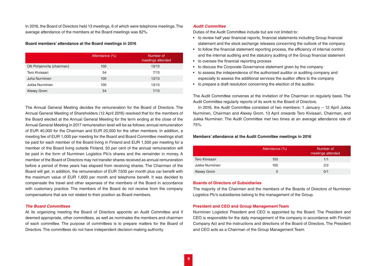<span id="page-5-0"></span>In 2016, the Board of Directors held 13 meetings, 6 of which were telephone meetings. The average attendance of the members at the Board meetings was 82%.

# **Board members' attendance at the Board meetings in 2016**

|                             | Attendance (%) | Number of<br>meetings attended |
|-----------------------------|----------------|--------------------------------|
| Olli Pohjanvirta (chairman) | 100            | 13/13                          |
| Tero Kivisaari              | 54             | 7/13                           |
| Juha Nurminen               | 100            | 13/13                          |
| Jukka Nurminen              | 100            | 13/13                          |
| Alexey Grom                 | 54             | 7/13                           |

The Annual General Meeting decides the remuneration for the Board of Directors. The Annual General Meeting of Shareholders (12 April 2016) resolved that for the members of the Board elected at the Annual General Meeting for the term ending at the close of the Annual General Meeting in 2017 remuneration level will be as follows: annual remuneration of EUR 40,000 for the Chairman and EUR 20,000 for the other members. In addition, a meeting fee of EUR 1,000 per meeting for the Board and Board Committee meetings shall be paid for each member of the Board living in Finland and EUR 1,500 per meeting for a member of the Board living outside Finland. 50 per cent of the annual remuneration will be paid in the form of Nurminen Logistics Plc's shares and the remainder in money. A member of the Board of Directors may not transfer shares received as annual remuneration before a period of three years has elapsed from receiving shares. The Chairman of the Board will get, in addition, the remuneration of EUR 7,500 per month plus car benefit with the maximum value of EUR 1,600 per month and telephone benefit. It was decided to compensate the travel and other expenses of the members of the Board in accordance with customary practice. The members of the Board do not receive from the company compensations that are not related to their position as Board members.

### *The Board Committees*

At its organizing meeting the Board of Directors appoints an Audit Committee and if deemed appropriate, other committees, as well as nominates the members and chairmen of each committee. The purpose of committees is to prepare matters for the Board of Directors. The committees do not have independent decision-making authority.

# *Audit Committee*

Duties of the Audit Committee include but are not limited to:

- to review half year financial reports, financial statements including Group financial statement and the stock exchange releases concerning the outlook of the company
- to follow the financial statement reporting process, the efficiency of internal control and the internal auditing and the statutory auditing of the Group financial statement
- to oversee the financial reporting process
- to discuss the Corporate Governance statement given by the company
- to assess the independence of the authorised auditor or auditing company and especially to assess the additional services the auditor offers to the company
- to prepare a draft resolution concerning the election of the auditor.

The Audit Committee convenes at the invitation of the Chairman on regularly basis. The Audit Committee regularly reports of its work to the Board of Directors.

In 2016, the Audit Committee consisted of two members: 1 January – 12 April Jukka Nurminen, Chairman and Alexey Grom. 13 April onwards Tero Kivisaari, Chairman, and Jukka Nurminen. The Audit Committee met two times at an average attendance rate of 75%.

# **Members' attendance at the Audit Committee meetings in 2016**

|                | Attendance (%) | Number of<br>meetings attended |
|----------------|----------------|--------------------------------|
| Tero Kivisaari | 100            | 1/1                            |
| Jukka Nurminen | 100            | 2/2                            |
| Alexey Grom    |                | 0/1                            |

### **Boards of Directors of Subsidiaries**

The majority of the Chairmen and the members of the Boards of Directors of Nurminen Logistics Plc's subsidiaries belong to the management of the Group.

# **President and CEO and Group Management Team**

Nurminen Logistics' President and CEO is appointed by the Board. The President and CEO is responsible for the daily management of the company in accordance with Finnish Company Act and the instructions and directions of the Board of Directors. The President and CEO acts as a Chairman of the Group Management Team.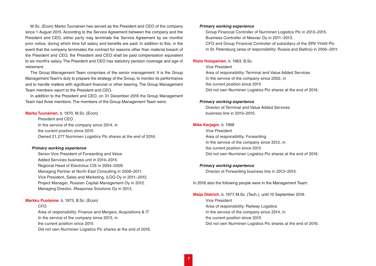M.Sc. (Econ) Marko Tuunainen has served as the President and CEO of the company since 1 August 2015. According to the Service Agreement between the company and the President and CEO, either party may terminate the Service Agreement by six months' prior notice, during which time full salary and benefits are paid. In addition to this, in the event that the company terminates the contract for reasons other than material breach of the President and CEO, the President and CEO shall be paid compensation equivalent to six month's salary. The President and CEO has statutory pension coverage and age of retirement.

The Group Management Team comprises of the senior management. It is the Group Management Team's duty to prepare the strategy of the Group, to monitor its performance and to handle matters with significant financial or other bearing. The Group Management Team members report to the President and CEO.

In addition to the President and CEO, on 31 December 2016 the Group Management Team had three members. The members of the Group Management Team were:

#### **Marko Tuunainen**, b. 1970, M.Sc. (Econ)

President and CEO In the service of the company since 2014, in the current position since 2015 Owned 21,277 Nurminen Logistics Plc shares at the end of 2016.

#### *Primary working experience*

Senior Vice President of Forwarding and Value Added Services business unit in 2014–2015. Regional Head of Electrolux CIS in 2004–2009. Managing Partner at North East Consulting in 2009–2011. Vice President, Sales and Marketing, iLOQ Oy in 2011–2012. Project Manager, Russian Capital Management Oy in 2012. Managing Director, iResponse Solutions Oy in 2013.

#### **Markku Puolanne**, b. 1973, B.Sc. (Econ)

# CFO

Area of responsibility: Finance and Mergers, Acquisitions & IT In the service of the company since 2013, in the current position since 2015 Did not own Nurminen Logistics Plc shares at the end of 2016.

### *Primary working experience*

Group Financial Controller of Nurminen Logistics Plc in 2013–2015. Business Controller of Mesvac Oy in 2011–2013.

CFO and Group Financial Controller of subsidiary of the SRV Yhtiöt Plc in St. Petersburg (area of responsibility: Russia and Baltics) in 2005–2011.

### **Risto Holopainen**, b. 1963, B.Sc.

Vice President Area of responsibility: Terminal and Value Added Services In the service of the company since 2002, in the current position since 2015 Did not own Nurminen Logistics Plc shares at the end of 2016.

#### *Primary working experience*

Director of Terminal and Value Added Services business line in 2013–2015.

# **Mike Karjagin**, b. 1968

Vice President Area of responsibility: Forwarding In the service of the company since 2012, in the current position since 2015 Did not own Nurminen Logistics Plc shares at the end of 2016.

# *Primary working experience*

Director of Forwarding business line in 2013–2015.

In 2016 also the following people were in the Management Team:

**Maija Dietrich**, b. 1977, M.Sc. (Tech.), until 10 September 2016 Vice President Area of responsibility: Railway Logistics In the service of the company since 2014, in the current position since 2015 Did not own Nurminen Logistics Plc shares at the end of 2016.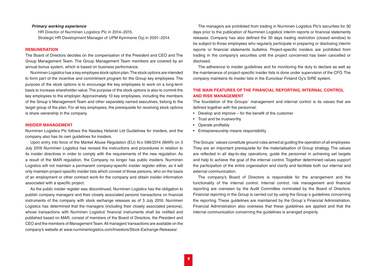# <span id="page-7-0"></span>*Primary working experience*

HR Director of Nurminen Logistics Plc in 2014–2015. Strategic HR Development Manager of UPM Kymmene Oyj in 2001–2014.

### **REMUNERATION**

The Board of Directors decides on the compensation of the President and CEO and The Group Management Team. The Group Management Team members are covered by an annual bonus system, which is based on business performance.

Nurminen Logistics has a key employee stock option plan. The stock options are intended to form part of the incentive and commitment program for the Group key employees. The purpose of the stock options is to encourage the key employees to work on a long-term basis to increase shareholder value. The purpose of the stock options is also to commit the key employees to the employer. Approximately 10 key employees, including the members of the Group´s Management Team and other separately named executives, belong to the target group of the plan. For all key employees, the prerequisite for receiving stock options is share ownership in the company.

### **INSIDER MANAGEMENT**

Nurminen Logistics Plc follows the Nasdaq Helsinki Ltd Guidelines for Insiders, and the company also has its own guidelines for insiders.

Upon entry into force of the Market Abuse Regulation (EU) N:o 596/2014 (MAR) on 3 July 2016 Nurminen Logistics has revised the instructions and procedures in relation to its insider directives in order to comply with the requirements of the new regulation. As a result of the MAR regulation, the Company no longer has public insiders. Nurminen Logistics will not maintain a permanent company-specific insider register either, as it will only maintain project-specific insider lists which consist of those persons, who on the basis of an employment or other contract work for the company and obtain insider information associated with a specific project.

As the public insider register was discontinued, Nurminen Logistics has the obligation to publish company managers' and their closely associated persons' transactions on financial instruments of the company with stock exchange releases as of 3 July 2016. Nurminen Logistics has determined that the managers (including their closely associated persons), whose transactions with Nurminen Logistics' financial instruments shall be notified and published based on MAR, consist of members of the Board of Directors, the President and CEO and the members of Management Team. All managers' transactions are available on the company's website at www.nurminenlogistics.com/Investors/Stock-Exchange-Releases/.

The managers are prohibited from trading in Nurminen Logistics Plc's securities for 30 days prior to the publication of Nurminen Logistics' interim reports or financial statements releases. Company has also defined the 30 days trading restriction (closed window) to be subject to those employees who regularly participate in preparing or disclosing interim reports or financial statements bulletins. Project-specific insiders are prohibited from trading in the company's securities until the project concerned has been cancelled or disclosed.

The adherence to insider guidelines and for monitoring the duty to declare as well as the maintenance of project-specific insider lists is done under supervision of the CFO. The company maintains its insider lists in the Euroclear Finland Oy's SIRE system.

# **THE MAIN FEATURES OF THE FINANCIAL REPORTING, INTERNAL CONTROL AND RISK MANAGEMENT**

The foundation of the Groups´ management and internal control is its values that are defined together with the personnel:

- Develop and improve for the benefit of the customer
- Trust and be trustworthy
- Operate profitably
- Entrepreneurship means responsibility

The Groups´ values constitute ground rules aimed at guiding the operation of all employees. They are an important prerequisite for the materialisation of Group strategy. The values are reflected in all day-to-day operations, guide the personnel in achieving set targets and help to achieve the goal of the internal control. Together determined values support the participation of the entire organisation and clarify and facilitate both our internal and external communication.

The company's Board of Directors is responsible for the arrangement and the functionality of the internal control. Internal control, risk management and financial reporting are overseen by the Audit Committee nominated by the Board of Directors. Financial reporting in the Group is carried out by using the Group´s guidelines concerning the reporting. These guidelines are maintained by the Group´s Financial Administration. Financial Administration also oversees that these guidelines are applied and that the internal communication concerning the guidelines is arranged properly.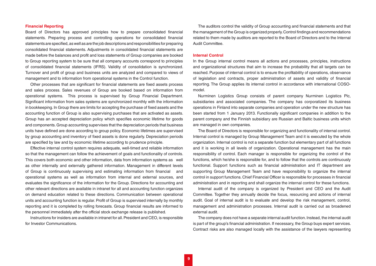# <span id="page-8-0"></span>**Financial Reporting**

Board of Directors has approved principles how to prepare consolidated financial statements. Preparing process and controlling operations for consolidated financial statements are specified, as well as are the job descriptions and responsibilities for preparing consolidated financial statements. Adjustments in consolidated financial statements are made before the balances and profit and loss statements of Group companies are booked to Group reporting system to be sure that all company accounts correspond to principles of consolidated financial statements (IFRS). Validity of consolidation is synchronized. Turnover and profit of group and business units are analyzed and compared to views of management and to information from operational systems in the Control function.

Other processes that are significant for financial statements are fixed assets process and sales process. Sales revenues of Group are booked based on information from operational systems. This process is supervised by Group Financial Department. Significant information from sales systems are synchronized monthly with the information in bookkeeping. In Group there are limits for accepting the purchase of fixed assets and the accounting function of Group is also supervising purchases that are activated as assets. Group has an accepted depreciation policy which specifies economic lifetime for goods and components. Group accounting supervises that the depreciation periods that business units have defined are done according to group policy. Economic lifetimes are supervised by group accounting and inventory of fixed assets is done regularly. Depreciation periods are specified by law and by economic lifetime according to prudence principle.

Effective internal control system requires adequate, well-timed and reliable information so that the management can follow the achievement of goals and functionality of controls. This covers both economic and other information, data from information systems as well as other internally and externally gathered information. Management in different levels of Group is continuously supervising and estimating information from financial and operational systems as well as information from internal and external sources, and evaluates the significance of the information for the Group. Directions for accounting and other relevant directions are available in intranet for all and accounting function organizes on demand education related to these directions. Communication between operational units and accounting function is regular. Profit of Group is supervised internally by monthly reporting and it is completed by rolling forecasts. Group financial results are informed to the personnel immediately after the official stock exchange release is published.

Instructions for insiders are available in intranet for all. President and CEO, is responsible for Investor Communications.

The auditors control the validity of Group accounting and financial statements and that the management of the Group is organized properly. Control findings and recommendations related to them made by auditors are reported to the Board of Directors and to the Internal Audit Committee.

#### **Internal Control**

In the Group internal control means all actions and processes, principles, instructions and organizational structures that aim to increase the probability that all targets can be reached. Purpose of internal control is to ensure the profitability of operations, observance of legislation and contracts, proper administration of assets and validity of financial reporting. The Group applies its internal control in accordance with international COSOmodel.

Nurminen Logistics Group consists of parent company Nurminen Logistics Plc, subsidiaries and associated companies. The company has corporatized its business operations in Finland into separate companies and operation under the new structure has been started from 1 January 2013. Functionally significant companies in addition to the parent company and the Finnish subsidiary are Russian and Baltic business units which are managed in own companies.

The Board of Directors is responsible for organizing and functionality of internal control. Internal control is managed by Group Management Team and it is executed by the whole organization. Internal control is not a separate function but elementary part of all functions and it is working in all levels of organization. Operational management has the main responsibility of control. Each manager is responsible for organizing the control of the functions, which he/she is responsible for, and to follow that the controls are continuously functional. Support functions such as financial administration and IT department are supporting Group Management Team and have responsibility to organize the internal control in support functions. Chief Financial Officer is responsible for processes in financial administration and in reporting and shall organize the internal control for these functions.

Internal audit of the company is organized by President and CEO and the Audit Committee. Together they annually decide the focus, resourcing and actions of internal audit. Goal of internal audit is to evaluate and develop the risk management, control, management and administration processes. Internal audit is carried out as broadened external audit.

The company does not have a separate internal audit function. Instead, the internal audit is part of the group's financial administration. If necessary, the Group buys expert services. Contract risks are also managed locally with the assistance of the lawyers representing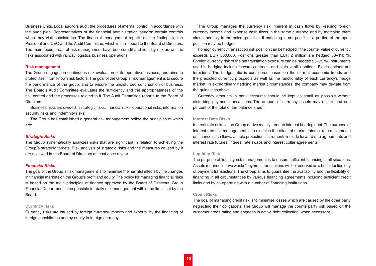<span id="page-9-0"></span>Business Units. Local auditors audit the procedures of internal control in accordance with the audit plan. Representatives of the financial administration perform certain controls when they visit subsidiaries. The financial management reports on the findings to the President and CEO and the Audit Committee, which in turn report to the Board of Directors. The main focus areas of risk management have been credit and liquidity risk as well as risks associated with railway logistics business operations.

#### **Risk management**

The Group engages in continuous risk evaluation of its operative business, and aims to protect itself from known risk factors. The goal of the Group´s risk management is to secure the performance of the group, and to ensure the undisturbed continuation of business. The Board's Audit Committee evaluates the sufficiency and the appropriateness of the risk control and the processes related to it. The Audit Committee reports to the Board of Directors.

Business risks are divided in strategic risks, financial risks, operational risks, information security risks and indemnity risks.

The Group has established a general risk management policy, the principles of which are:

### *Strategic Risks*

The Group systematically analyzes risks that are significant in relation to achieving the Group´s strategic targets. Risk analysis of strategic risks and the measures caused by it are reviewed in the Board of Directors at least once a year.

# *Financial Risks*

The goal of the Group´s risk management is to minimise the harmful effects by the changes in financial markets on the Group's profit and equity. The policy for managing financial risks is based on the main principles of finance approved by the Board of Directors. Group Financial Department is responsible for daily risk management within the limits set by the Board.

#### **Currency risks**

Currency risks are caused by foreign currency imports and exports, by the financing of foreign subsidiaries and by equity in foreign currency.

The Group manages the currency risk inherent in cash flows by keeping foreign currency income and expense cash flows in the same currency, and by matching them simultaneously to the extent possible. If matching is not possible, a portion of the open position may be hedged.

Foreign currency transaction risk position can be hedged if the counter value of currency exceeds EUR 500,000. Positions greater than EUR 2 million are hedged 50–110 %. Foreign currency risk of the net translation exposure can be hedged 25–75 %. Instruments used in hedging include forward contracts and plain vanilla options. Exotic options are forbidden. The hedge ratio is considered based on the current economic trends and the predicted currency prospects as well as the functionality of each currency's hedge market. In extraordinary hedging market circumstances, the company may deviate from the guidelines above.

Currency amounts in bank accounts should be kept as small as possible without disturbing payment transactions. The amount of currency assets may not exceed one percent of the total of the balance sheet.

### **Interest Rate Risks**

Interest rate risks to the Group derive mainly through interest bearing debt. The purpose of interest rate risk management is to diminish the effect of market interest rate movements on finance cash flows. Usable protection instruments include forward rate agreements and interest rate futures, interest rate swaps and interest collar agreements.

# **Liquidity Risk**

The purpose of liquidity risk management is to ensure sufficient financing in all situations. Assets required for two weeks' payment transactions will be reserved as a buffer for liquidity of payment transactions. The Group aims to guarantee the availability and the flexibility of financing in all circumstances by various financing agreements including sufficient credit limits and by co-operating with a number of financing institutions.

### **Credit Risks**

The goal of managing credit risk is to minimise losses which are caused by the other party neglecting their obligations. The Group will manage the counterparty risk based on the customer credit rating and engages in active debt-collection, when necessary.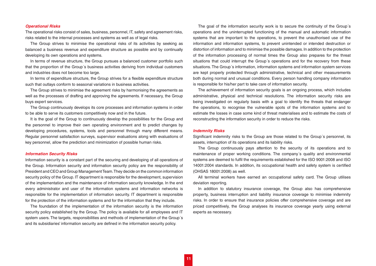# <span id="page-10-0"></span>*Operational Risks*

The operational risks consist of sales, business, personnel, IT, safety and agreement risks, risks related to the internal processes and systems as well as of legal risks.

The Group strives to minimise the operational risks of its activities by seeking as balanced a business revenue and expenditure structure as possible and by continually developing its own operations and systems.

In terms of revenue structure, the Group pursues a balanced customer portfolio such that the proportion of the Group´s business activities deriving from individual customers and industries does not become too large.

In terms of expenditure structure, the Group strives for a flexible expenditure structure such that outlays conform to seasonal variations in business activities.

The Group strives to minimise the agreement risks by harmonising the agreements as well as the processes of drafting and approving the agreements. If necessary, the Group buys expert services.

The Group continuously develops its core processes and information systems in order to be able to serve its customers competitively now and in the future.

It is the goal of the Group to continuously develop the possibilities for the Group and the personnel to improve their own operating environment and to predict changes by developing procedures, systems, tools and personnel through many different means. Regular personnel satisfaction surveys, supervisor evaluations along with evaluations of key personnel, allow the prediction and minimization of possible human risks.

#### *Information Security Risks*

Information security is a constant part of the securing and developing of all operations of the Group. Information security and information security policy are the responsibility of President and CEO and Group Management Team. They decide on the common information security policy of the Group. IT department is responsible for the development, supervision of the implementation and the maintenance of information security knowledge. In the end every administrator and user of the information systems and information networks is responsible for the implementation of information security. IT department is responsible for the protection of the information systems and for the information that they include.

The foundation of the implementation of the information security is the information security policy established by the Group. The policy is available for all employees and IT system users. The targets, responsibilities and methods of implementation of the Group´s and its subsidiaries' information security are defined in the information security policy.

The goal of the information security work is to secure the continuity of the Group´s operations and the uninterrupted functioning of the manual and automatic information systems that are important to the operations, to prevent the unauthorised use of the information and information systems, to prevent unintended or intended destruction or distortion of information and to minimise the possible damages. In addition to the protection of the information processing of normal times the Group also prepares for the threat situations that could interrupt the Group´s operations and for the recovery from these situations. The Group´s information, information systems and information system services are kept properly protected through administrative, technical and other measurements both during normal and unusual conditions. Every person handling company information is responsible for his/her part to take care of information security.

The achievement of information security goals is an ongoing process, which includes administrative, physical and technical resolutions. The information security risks are being investigated on regularly basis with a goal to identify the threats that endanger the operations, to recognise the vulnerable spots of the information systems and to estimate the losses in case some kind of threat materialises and to estimate the costs of reconstructing the information security in order to reduce the risks.

### *Indemnity Risks*

Significant indemnity risks to the Group are those related to the Group´s personnel, its assets, interruption of its operations and its liability risks.

The Group continuously pays attention to the security of its operations and to maintenance of proper working conditions. The company´s quality and environmental systems are deemed to fulfil the requirements established for the ISO 9001:2008 and ISO 14001:2004 standards. In addition, its occupational health and safety system is certified (OHSAS 18001:2008) as well.

All terminal workers have earned an occupational safety card. The Group utilises deviation reporting.

In addition to statutory insurance coverage, the Group also has comprehensive property, business interruption and liability insurance coverage to minimise indemnity risks. In order to ensure that insurance policies offer comprehensive coverage and are priced competitively, the Group analyses its insurance coverage yearly using external experts as necessary.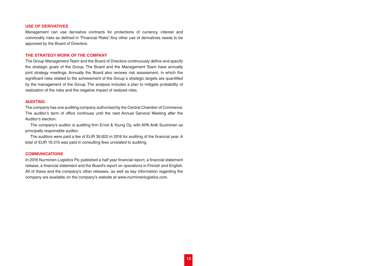# <span id="page-11-0"></span>**USE OF DERIVATIVES**

Management can use derivative contracts for protections of currency, interest and commodity risks as defined in "Financial Risks". Any other use of derivatives needs to be approved by the Board of Directors.

# **THE STRATEGY WORK OF THE COMPANY**

The Group Management Team and the Board of Directors continuously define and specify the strategic goals of the Group. The Board and the Management Team have annually joint strategy meetings. Annually the Board also reviews risk assessment, in which the significant risks related to the achievement of the Group´s strategic targets are quantified by the management of the Group. The analysis includes a plan to mitigate probability of realization of the risks and the negative impact of realized risks.

# **AUDITING**

The company has one auditing company authorised by the Central Chamber of Commerce. The auditor's term of office continues until the next Annual General Meeting after the Auditor's election.

The company's auditor is auditing firm Ernst & Young Oy, with APA Antti Suominen as principally responsible auditor.

The auditors were paid a fee of EUR 39,820 in 2016 for auditing of the financial year. A total of EUR 19,315 was paid in consulting fees unrelated to auditing.

# **COMMUNICATIONS**

In 2016 Nurminen Logistics Plc published a half year financial report, a financial statement release, a financial statement and the Board's report on operations in Finnish and English. All of these and the company's other releases, as well as key information regarding the company are available on the company's website at www.nurminenlogistics.com.